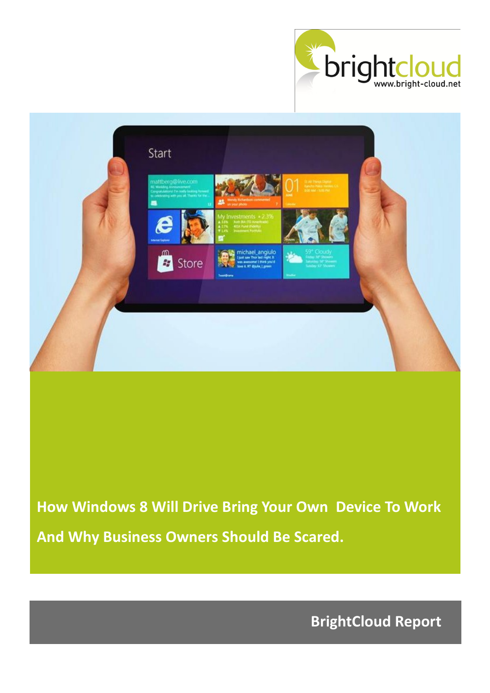



**How Windows 8 Will Drive Bring Your Own Device To Work And Why Business Owners Should Be Scared.**

**BrightCloud Report**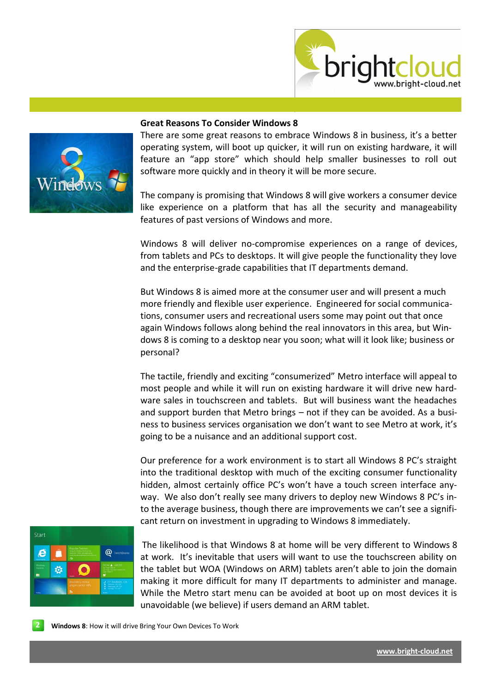



## **Great Reasons To Consider Windows 8**

There are some great reasons to embrace Windows 8 in business, it's a better operating system, will boot up quicker, it will run on existing hardware, it will feature an "app store" which should help smaller businesses to roll out software more quickly and in theory it will be more secure.

The company is promising that Windows 8 will give workers a consumer device like experience on a platform that has all the security and manageability features of past versions of Windows and more.

[Windows 8](http://www.informationweek.com/news/windows/microsoft_news/232601740) will deliver no-compromise experiences on a range of devices, from tablets and PCs to desktops. It will give people the functionality they love and the enterprise-grade capabilities that IT departments demand.

But Windows 8 is aimed more at the consumer user and will present a much more friendly and flexible user experience. Engineered for social communications, consumer users and recreational users some may point out that once again Windows follows along behind the real innovators in this area, but Windows 8 is coming to a desktop near you soon; what will it look like; business or personal?

The tactile, friendly and exciting "consumerized" Metro interface will appeal to most people and while it will run on existing hardware it will drive new hardware sales in touchscreen and tablets. But will business want the headaches and support burden that Metro brings – not if they can be avoided. As a business to business services organisation we don't want to see Metro at work, it's going to be a nuisance and an additional support cost.

Our preference for a work environment is to start all Windows 8 PC's straight into the traditional desktop with much of the exciting consumer functionality hidden, almost certainly office PC's won't have a touch screen interface anyway. We also don't really see many drivers to deploy new Windows 8 PC's into the average business, though there are improvements we can't see a significant return on investment in upgrading to Windows 8 immediately.



The likelihood is that Windows 8 at home will be very different to Windows 8 at work. It's inevitable that users will want to use the touchscreen ability on the tablet but WOA (Windows on ARM) tablets aren't able to join the domain making it more difficult for many IT departments to administer and manage. While the Metro start menu can be avoided at boot up on most devices it is unavoidable (we believe) if users demand an ARM tablet.

**2 Windows 8**: How it will drive Bring Your Own Devices To Work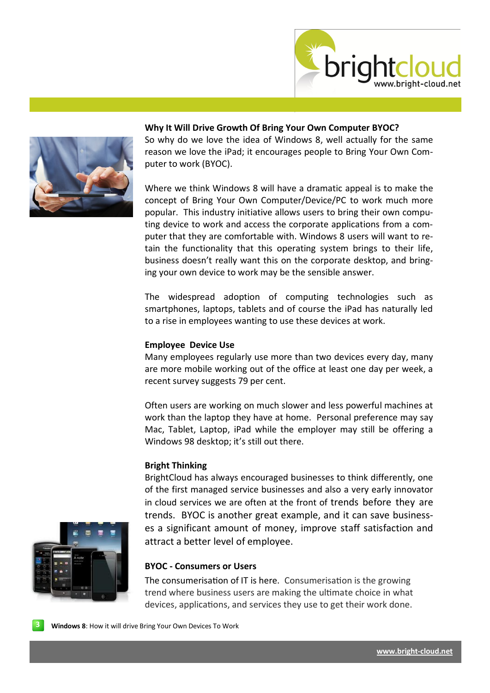



# **Why It Will Drive Growth Of Bring Your Own Computer BYOC?**

So why do we love the idea of Windows 8, well actually for the same reason we love the iPad; it encourages people to Bring Your Own Computer to work (BYOC).

Where we think Windows 8 will have a dramatic appeal is to make the concept of Bring Your Own Computer/Device/PC to work much more popular. This industry initiative allows users to bring their own computing device to work and access the corporate applications from a computer that they are comfortable with. Windows 8 users will want to retain the functionality that this operating system brings to their life, business doesn't really want this on the corporate desktop, and bringing your own device to work may be the sensible answer.

The widespread adoption of computing technologies such as smartphones, laptops, tablets and of course the iPad has naturally led to a rise in employees wanting to use these devices at work.

### **Employee Device Use**

Many employees regularly use more than two devices every day, many are more mobile working out of the office at least one day per week, a recent survey suggests 79 per cent.

Often users are working on much slower and less powerful machines at work than the laptop they have at home. Personal preference may say Mac, Tablet, Laptop, iPad while the employer may still be offering a Windows 98 desktop; it's still out there.

#### **Bright Thinking**

BrightCloud has always encouraged businesses to think differently, one of the first managed service businesses and also a very early innovator in cloud services we are often at the front of trends before they are trends. BYOC is another great example, and it can save businesses a significant amount of money, improve staff satisfaction and attract a better level of employee.

### **BYOC - Consumers or Users**

The consumerisation of IT is here. Consumerisation is the growing trend where business users are making the ultimate choice in what devices, applications, and services they use to get their work done.



**3 Windows 8**: How it will drive Bring Your Own Devices To Work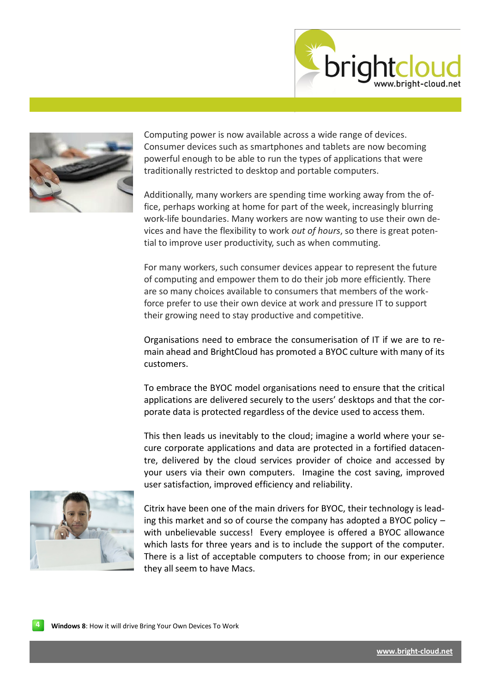



Computing power is now available across a wide range of devices. Consumer devices such as smartphones and tablets are now becoming powerful enough to be able to run the types of applications that were traditionally restricted to desktop and portable computers.

Additionally, many workers are spending time working away from the office, perhaps working at home for part of the week, increasingly blurring work-life boundaries. Many workers are now wanting to use their own devices and have the flexibility to work *out of hours*, so there is great potential to improve user productivity, such as when commuting.

For many workers, such consumer devices appear to represent the future of computing and empower them to do their job more efficiently. There are so many choices available to consumers that members of the workforce prefer to use their own device at work and pressure IT to support their growing need to stay productive and competitive.

Organisations need to embrace the consumerisation of IT if we are to remain ahead and BrightCloud has promoted a BYOC culture with many of its customers.

To embrace the BYOC model organisations need to ensure that the critical applications are delivered securely to the users' desktops and that the corporate data is protected regardless of the device used to access them.

This then leads us inevitably to the cloud; imagine a world where your secure corporate applications and data are protected in a fortified datacentre, delivered by the cloud services provider of choice and accessed by your users via their own computers. Imagine the cost saving, improved user satisfaction, improved efficiency and reliability.



Citrix have been one of the main drivers for BYOC, their technology is leading this market and so of course the company has adopted a BYOC policy – with unbelievable success! Every employee is offered a BYOC allowance which lasts for three years and is to include the support of the computer. There is a list of acceptable computers to choose from; in our experience they all seem to have Macs.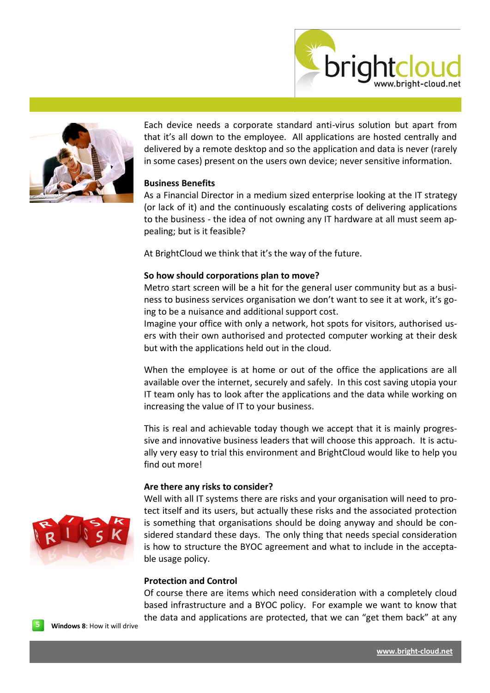



Each device needs a corporate standard anti-virus solution but apart from that it's all down to the employee. All applications are hosted centrally and delivered by a remote desktop and so the application and data is never (rarely in some cases) present on the users own device; never sensitive information.

## **Business Benefits**

As a Financial Director in a medium sized enterprise looking at the IT strategy (or lack of it) and the continuously escalating costs of delivering applications to the business - the idea of not owning any IT hardware at all must seem appealing; but is it feasible?

At BrightCloud we think that it's the way of the future.

# **So how should corporations plan to move?**

Metro start screen will be a hit for the general user community but as a business to business services organisation we don't want to see it at work, it's going to be a nuisance and additional support cost.

Imagine your office with only a network, hot spots for visitors, authorised users with their own authorised and protected computer working at their desk but with the applications held out in the cloud.

When the employee is at home or out of the office the applications are all available over the internet, securely and safely. In this cost saving utopia your IT team only has to look after the applications and the data while working on increasing the value of IT to your business.

This is real and achievable today though we accept that it is mainly progressive and innovative business leaders that will choose this approach. It is actually very easy to trial this environment and BrightCloud would like to help you find out more!

## **Are there any risks to consider?**

Well with all IT systems there are risks and your organisation will need to protect itself and its users, but actually these risks and the associated protection is something that organisations should be doing anyway and should be considered standard these days. The only thing that needs special consideration is how to structure the BYOC agreement and what to include in the acceptable usage policy.

## **Protection and Control**

Of course there are items which need consideration with a completely cloud based infrastructure and a BYOC policy. For example we want to know that the data and applications are protected, that we can "get them back" at any



**5 Windows 8**: How it will drive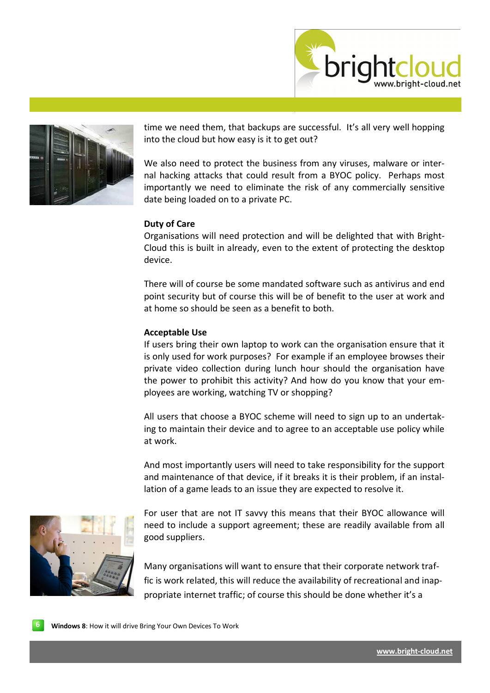



time we need them, that backups are successful. It's all very well hopping into the cloud but how easy is it to get out?

We also need to protect the business from any viruses, malware or internal hacking attacks that could result from a BYOC policy. Perhaps most importantly we need to eliminate the risk of any commercially sensitive date being loaded on to a private PC.

### **Duty of Care**

Organisations will need protection and will be delighted that with Bright-Cloud this is built in already, even to the extent of protecting the desktop device.

There will of course be some mandated software such as antivirus and end point security but of course this will be of benefit to the user at work and at home so should be seen as a benefit to both.

#### **Acceptable Use**

If users bring their own laptop to work can the organisation ensure that it is only used for work purposes? For example if an employee browses their private video collection during lunch hour should the organisation have the power to prohibit this activity? And how do you know that your employees are working, watching TV or shopping?

All users that choose a BYOC scheme will need to sign up to an undertaking to maintain their device and to agree to an acceptable use policy while at work.

And most importantly users will need to take responsibility for the support and maintenance of that device, if it breaks it is their problem, if an installation of a game leads to an issue they are expected to resolve it.



For user that are not IT savvy this means that their BYOC allowance will need to include a support agreement; these are readily available from all good suppliers.

Many organisations will want to ensure that their corporate network traffic is work related, this will reduce the availability of recreational and inappropriate internet traffic; of course this should be done whether it's a

**6 Windows 8**: How it will drive Bring Your Own Devices To Work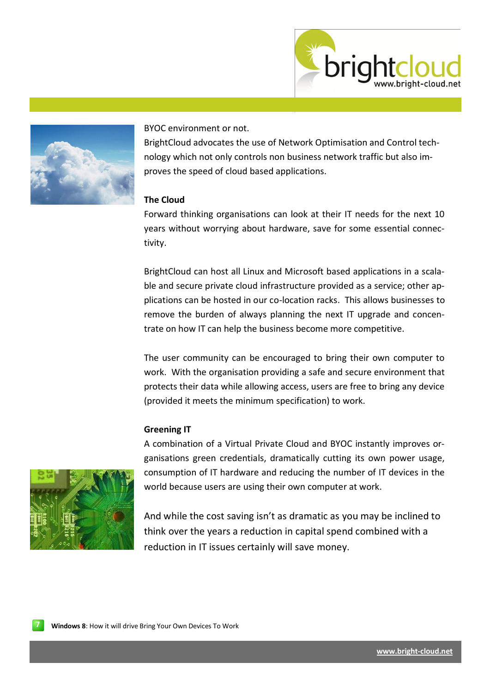



BYOC environment or not.

BrightCloud advocates the use of Network Optimisation and Control technology which not only controls non business network traffic but also improves the speed of cloud based applications.

# **The Cloud**

Forward thinking organisations can look at their IT needs for the next 10 years without worrying about hardware, save for some essential connectivity.

BrightCloud can host all Linux and Microsoft based applications in a scalable and secure private cloud infrastructure provided as a service; other applications can be hosted in our co-location racks. This allows businesses to remove the burden of always planning the next IT upgrade and concentrate on how IT can help the business become more competitive.

The user community can be encouraged to bring their own computer to work. With the organisation providing a safe and secure environment that protects their data while allowing access, users are free to bring any device (provided it meets the minimum specification) to work.

### **Greening IT**

A combination of a Virtual Private Cloud and BYOC instantly improves organisations green credentials, dramatically cutting its own power usage, consumption of IT hardware and reducing the number of IT devices in the world because users are using their own computer at work.



And while the cost saving isn't as dramatic as you may be inclined to think over the years a reduction in capital spend combined with a reduction in IT issues certainly will save money.